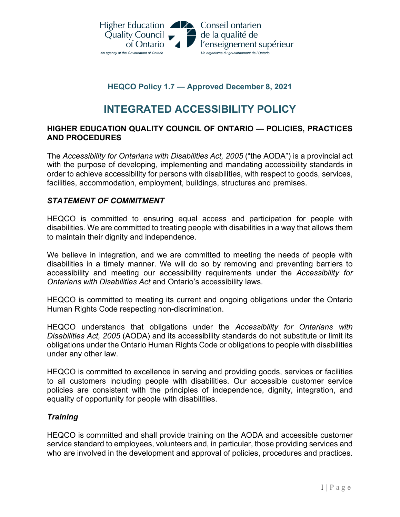

## **HEQCO Policy 1.7 — Approved December 8, 2021**

# **INTEGRATED ACCESSIBILITY POLICY**

## **HIGHER EDUCATION QUALITY COUNCIL OF ONTARIO — POLICIES, PRACTICES AND PROCEDURES**

The *Accessibility for Ontarians with Disabilities Act, 2005* ("the AODA") is a provincial act with the purpose of developing, implementing and mandating accessibility standards in order to achieve accessibility for persons with disabilities, with respect to goods, services, facilities, accommodation, employment, buildings, structures and premises.

## *STATEMENT OF COMMITMENT*

HEQCO is committed to ensuring equal access and participation for people with disabilities. We are committed to treating people with disabilities in a way that allows them to maintain their dignity and independence.

We believe in integration, and we are committed to meeting the needs of people with disabilities in a timely manner. We will do so by removing and preventing barriers to accessibility and meeting our accessibility requirements under the *Accessibility for Ontarians with Disabilities Act* and Ontario's accessibility laws.

HEQCO is committed to meeting its current and ongoing obligations under the Ontario Human Rights Code respecting non-discrimination.

HEQCO understands that obligations under the *Accessibility for Ontarians with Disabilities Act, 2005* (AODA) and its accessibility standards do not substitute or limit its obligations under the Ontario Human Rights Code or obligations to people with disabilities under any other law.

HEQCO is committed to excellence in serving and providing goods, services or facilities to all customers including people with disabilities. Our accessible customer service policies are consistent with the principles of independence, dignity, integration, and equality of opportunity for people with disabilities.

## *Training*

HEQCO is committed and shall provide training on the AODA and accessible customer service standard to employees, volunteers and, in particular, those providing services and who are involved in the development and approval of policies, procedures and practices.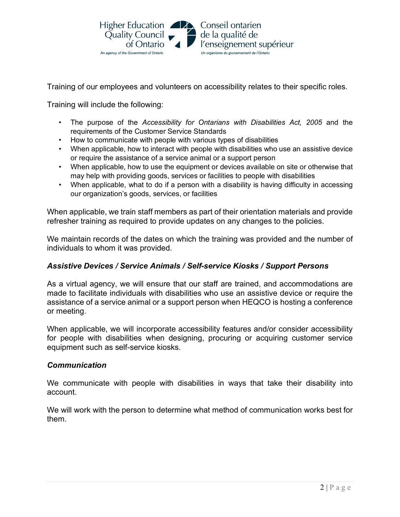

Training of our employees and volunteers on accessibility relates to their specific roles.

Training will include the following:

- The purpose of the *Accessibility for Ontarians with Disabilities Act, 2005* and the requirements of the Customer Service Standards
- How to communicate with people with various types of disabilities
- When applicable, how to interact with people with disabilities who use an assistive device or require the assistance of a service animal or a support person
- When applicable, how to use the equipment or devices available on site or otherwise that may help with providing goods, services or facilities to people with disabilities
- When applicable, what to do if a person with a disability is having difficulty in accessing our organization's goods, services, or facilities

When applicable, we train staff members as part of their orientation materials and provide refresher training as required to provide updates on any changes to the policies.

We maintain records of the dates on which the training was provided and the number of individuals to whom it was provided.

## *Assistive Devices / Service Animals / Self-service Kiosks / Support Persons*

As a virtual agency, we will ensure that our staff are trained, and accommodations are made to facilitate individuals with disabilities who use an assistive device or require the assistance of a service animal or a support person when HEQCO is hosting a conference or meeting.

When applicable, we will incorporate accessibility features and/or consider accessibility for people with disabilities when designing, procuring or acquiring customer service equipment such as self-service kiosks.

## *Communication*

We communicate with people with disabilities in ways that take their disability into account.

We will work with the person to determine what method of communication works best for them.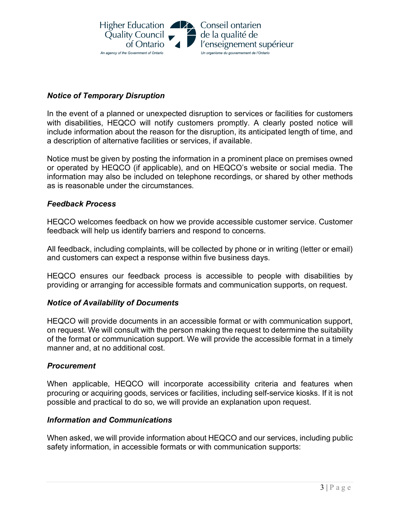

## *Notice of Temporary Disruption*

In the event of a planned or unexpected disruption to services or facilities for customers with disabilities, HEQCO will notify customers promptly. A clearly posted notice will include information about the reason for the disruption, its anticipated length of time, and a description of alternative facilities or services, if available.

Notice must be given by posting the information in a prominent place on premises owned or operated by HEQCO (if applicable), and on HEQCO's website or social media. The information may also be included on telephone recordings, or shared by other methods as is reasonable under the circumstances.

## *Feedback Process*

HEQCO welcomes feedback on how we provide accessible customer service. Customer feedback will help us identify barriers and respond to concerns.

All feedback, including complaints, will be collected by phone or in writing (letter or email) and customers can expect a response within five business days.

HEQCO ensures our feedback process is accessible to people with disabilities by providing or arranging for accessible formats and communication supports, on request.

#### *Notice of Availability of Documents*

HEQCO will provide documents in an accessible format or with communication support, on request. We will consult with the person making the request to determine the suitability of the format or communication support. We will provide the accessible format in a timely manner and, at no additional cost.

#### *Procurement*

When applicable, HEQCO will incorporate accessibility criteria and features when procuring or acquiring goods, services or facilities, including self-service kiosks. If it is not possible and practical to do so, we will provide an explanation upon request.

#### *Information and Communications*

When asked, we will provide information about HEQCO and our services, including public safety information, in accessible formats or with communication supports: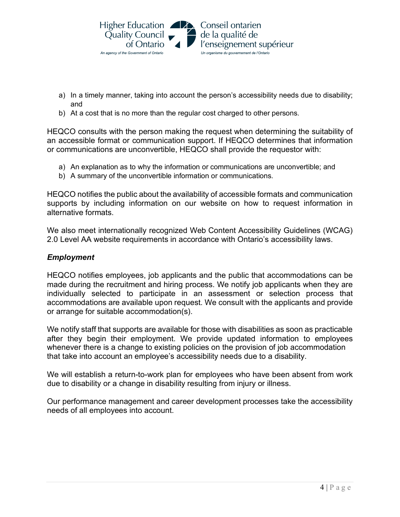

- a) In a timely manner, taking into account the person's accessibility needs due to disability; and
- b) At a cost that is no more than the regular cost charged to other persons.

HEQCO consults with the person making the request when determining the suitability of an accessible format or communication support. If HEQCO determines that information or communications are unconvertible, HEQCO shall provide the requestor with:

- a) An explanation as to why the information or communications are unconvertible; and
- b) A summary of the unconvertible information or communications.

HEQCO notifies the public about the availability of accessible formats and communication supports by including information on our website on how to request information in alternative formats.

We also meet internationally recognized Web Content Accessibility Guidelines (WCAG) 2.0 Level AA website requirements in accordance with Ontario's accessibility laws.

## *Employment*

HEQCO notifies employees, job applicants and the public that accommodations can be made during the recruitment and hiring process. We notify job applicants when they are individually selected to participate in an assessment or selection process that accommodations are available upon request. We consult with the applicants and provide or arrange for suitable accommodation(s).

We notify staff that supports are available for those with disabilities as soon as practicable after they begin their employment. We provide updated information to employees whenever there is a change to existing policies on the provision of job accommodation that take into account an employee's accessibility needs due to a disability.

We will establish a return-to-work plan for employees who have been absent from work due to disability or a change in disability resulting from injury or illness.

Our performance management and career development processes take the accessibility needs of all employees into account.